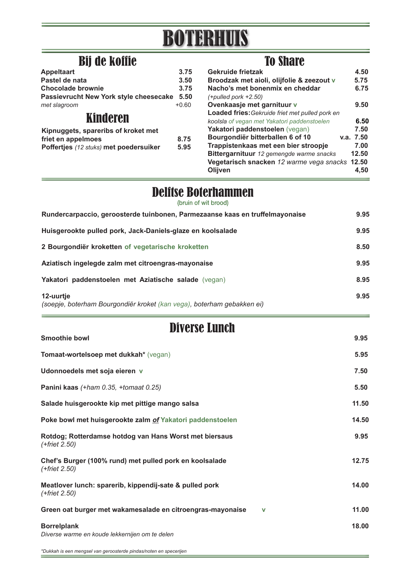# BOTERHUIS

## Bij de koffie To Share To Share

| <b>Appeltaart</b>                      | 3.75    |
|----------------------------------------|---------|
| Pastel de nata                         | 3.50    |
| <b>Chocolade brownie</b>               | 3.75    |
| Passievrucht New York style cheesecake | 5.50    |
| met slagroom                           | $+0.60$ |
| Kinderen                               |         |
| Kipnuggets, spareribs of kroket met    |         |
| friet en appelmoes                     | 8.75    |
| Poffertjes (12 stuks) met poedersuiker | 5.95    |
|                                        |         |

| Gekruide frietzak                               | 4.50      |
|-------------------------------------------------|-----------|
| Broodzak met aioli, olijfolie & zeezout v       | 5.75      |
| Nacho's met bonenmix en cheddar                 | 6.75      |
| $(+$ pulled pork $+2.50$ )                      |           |
| Ovenkaasje met garnituur v                      | 9.50      |
| Loaded fries: Gekruide friet met pulled pork en |           |
| koolsla of vegan met Yakatori paddenstoelen     | 6.50      |
| Yakatori paddenstoelen (vegan)                  | 7.50      |
| Bourgondiër bitterballen 6 of 10                | v.a. 7.50 |
| Trappistenkaas met een bier stroopje            | 7.00      |
| Bittergarnituur 12 gemengde warme snacks        | 12.50     |
| Vegetarisch snacken 12 warme vega snacks 12.50  |           |
| Olijven                                         | 4.50      |
|                                                 |           |

## **Delftse Boterhammen**

| Rundercarpaccio, geroosterde tuinbonen, Parmezaanse kaas en truffelmayonaise        | 9.95 |
|-------------------------------------------------------------------------------------|------|
| Huisgerookte pulled pork, Jack-Daniels-glaze en koolsalade                          | 9.95 |
| 2 Bourgondiër kroketten of vegetarische kroketten                                   | 8.50 |
| Aziatisch ingelegde zalm met citroengras-mayonaise                                  | 9.95 |
| Yakatori paddenstoelen met Aziatische salade (vegan)                                | 8.95 |
| 12-uurtje<br>(soepje, boterham Bourgondiër kroket (kan vega), boterham gebakken ei) | 9.95 |

### **Smoothie bowl 9.95** Diverse Lunch

**Tomaat-wortelsoep met dukkah\*** (vegan) **5.95 Udonnoedels met soja eieren v 7.50 Panini kaas** *(+ham 0.35, +tomaat 0.25)* **5.50** Salade huisgerookte kip met pittige mango salsa **11.50** and 11.50 **Poke bowl met huisgerookte zalm of Yakatori paddenstoelen 14.50 Rotdog; Rotterdamse hotdog van Hans Worst met biersaus 9.95** *(+friet 2.50)*  **Chef's Burger (100% rund) met pulled pork en koolsalade 12.75** *(+friet 2.50)*  **Meatlover lunch: sparerib, kippendij-sate & pulled pork 14.00**  *(+friet 2.50)* **Green oat burger met wakamesalade en citroengras-mayonaise v 11.00 Borrelplank 18.00** *Diverse warme en koude lekkernijen om te delen*

*\*Dukkah is een mengsel van geroosterde pindas/noten en specerijen*